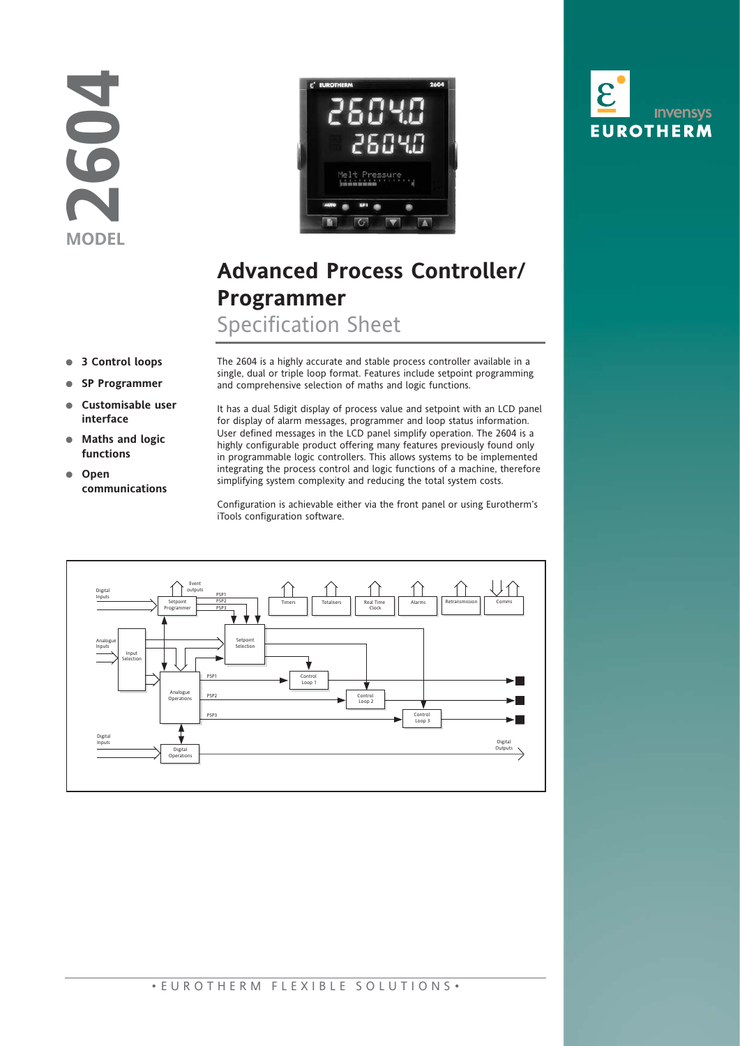



# **Advanced Process Controller/ Programmer**

Specification Sheet

- **3 Control loops**
- **SP Programmer**
- **Customisable user interface**
- **Maths and logic functions**
- **Open communications**

The 2604 is a highly accurate and stable process controller available in a single, dual or triple loop format. Features include setpoint programming and comprehensive selection of maths and logic functions.

It has a dual 5digit display of process value and setpoint with an LCD panel for display of alarm messages, programmer and loop status information. User defined messages in the LCD panel simplify operation. The 2604 is a highly configurable product offering many features previously found only in programmable logic controllers. This allows systems to be implemented integrating the process control and logic functions of a machine, therefore simplifying system complexity and reducing the total system costs.

Configuration is achievable either via the front panel or using Eurotherm's iTools configuration software.



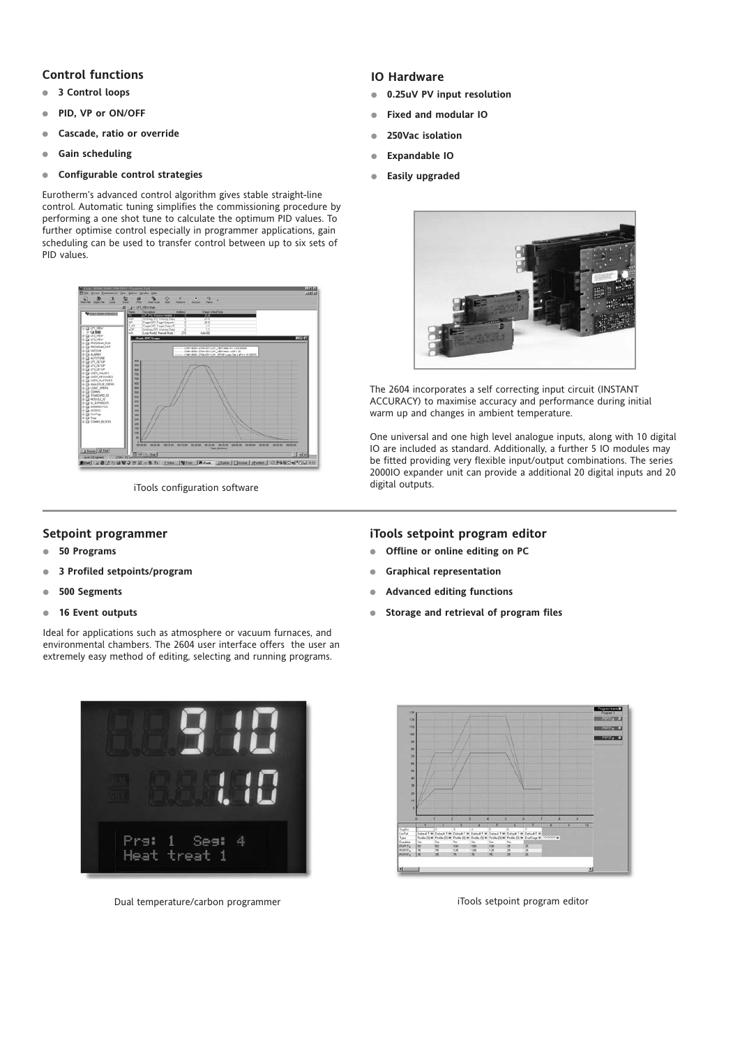### **Control functions**

- **3 Control loops**
- **PID, VP or ON/OFF**
- **Cascade, ratio or override**
- **Gain scheduling**
- **Configurable control strategies**

Eurotherm's advanced control algorithm gives stable straight-line control. Automatic tuning simplifies the commissioning procedure by performing a one shot tune to calculate the optimum PID values. To further optimise control especially in programmer applications, gain scheduling can be used to transfer control between up to six sets of PID values.



iTools configuration software

#### **Setpoint programmer**

- **50 Programs**
- **3 Profiled setpoints/program**
- **500 Segments**
- **16 Event outputs**

Ideal for applications such as atmosphere or vacuum furnaces, and environmental chambers. The 2604 user interface offers the user an extremely easy method of editing, selecting and running programs.



Dual temperature/carbon programmer iTools setpoint program editor

#### **IO Hardware**

- **0.25uV PV input resolution**
- **Fixed and modular IO**
- **250Vac isolation**
- **Expandable IO**
- **Easily upgraded**



The 2604 incorporates a self correcting input circuit (INSTANT ACCURACY) to maximise accuracy and performance during initial warm up and changes in ambient temperature.

One universal and one high level analogue inputs, along with 10 digital IO are included as standard. Additionally, a further 5 IO modules may be fitted providing very flexible input/output combinations. The series 2000IO expander unit can provide a additional 20 digital inputs and 20 digital outputs.

#### **iTools setpoint program editor**

- **Offline or online editing on PC**
- **Graphical representation**
- **Advanced editing functions**
- **Storage and retrieval of program files**

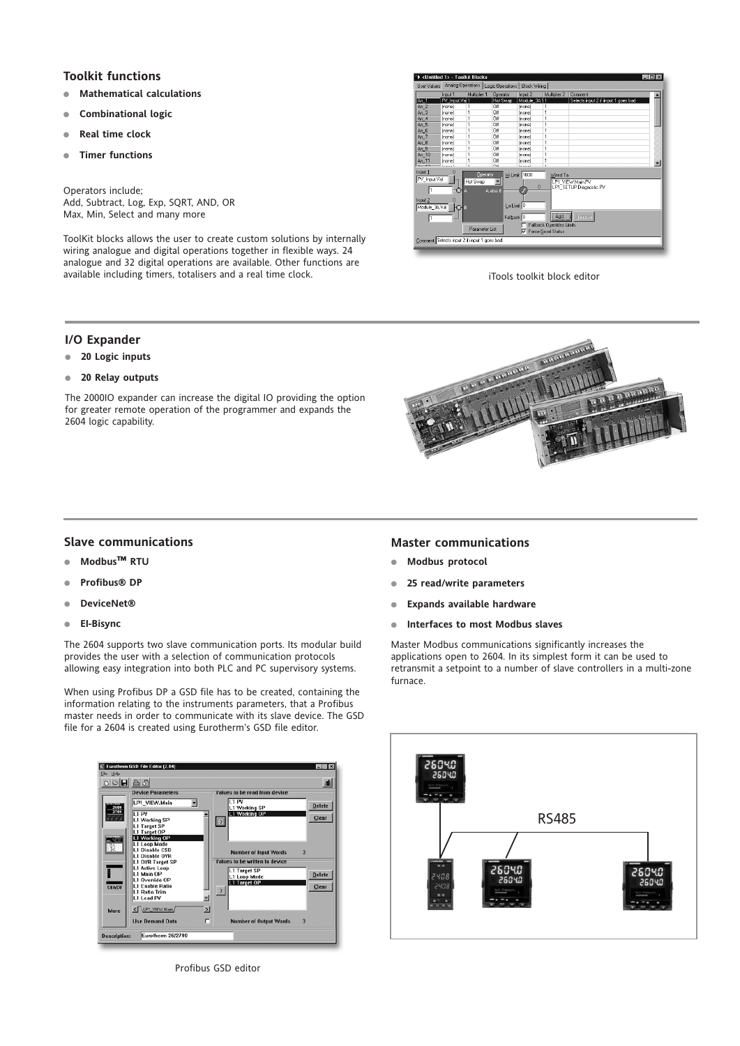# **Toolkit functions**

- **Mathematical calculations**
- **Combinational logic**
- **Real time clock**
- **Timer functions**

Operators include; Add, Subtract, Log, Exp, SQRT, AND, OR Max, Min, Select and many more

ToolKit blocks allows the user to create custom solutions by internally wiring analogue and digital operations together in flexible ways. 24 analogue and 32 digital operations are available. Other functions are available including timers, totalisers and a real time clock. interest of the state of the iTools toolkit block editor



#### **I/O Expander**

- **20 Logic inputs**
- **20 Relay outputs**

The 2000IO expander can increase the digital IO providing the option for greater remote operation of the programmer and expands the 2604 logic capability.



#### **Slave communications**

- **Modbus™ RTU**
- **Profibus® DP**
- **DeviceNet®**
- **EI-Bisync**

The 2604 supports two slave communication ports. Its modular build provides the user with a selection of communication protocols allowing easy integration into both PLC and PC supervisory systems.

When using Profibus DP a GSD file has to be created, containing the information relating to the instruments parameters, that a Profibus master needs in order to communicate with its slave device. The GSD file for a 2604 is created using Eurotherm's GSD file editor.



Profibus GSD editor

#### **Master communications**

- **Modbus protocol**
- **25 read/write parameters**
- **Expands available hardware**
- **Interfaces to most Modbus slaves**

Master Modbus communications significantly increases the applications open to 2604. In its simplest form it can be used to retransmit a setpoint to a number of slave controllers in a multi-zone furnace.

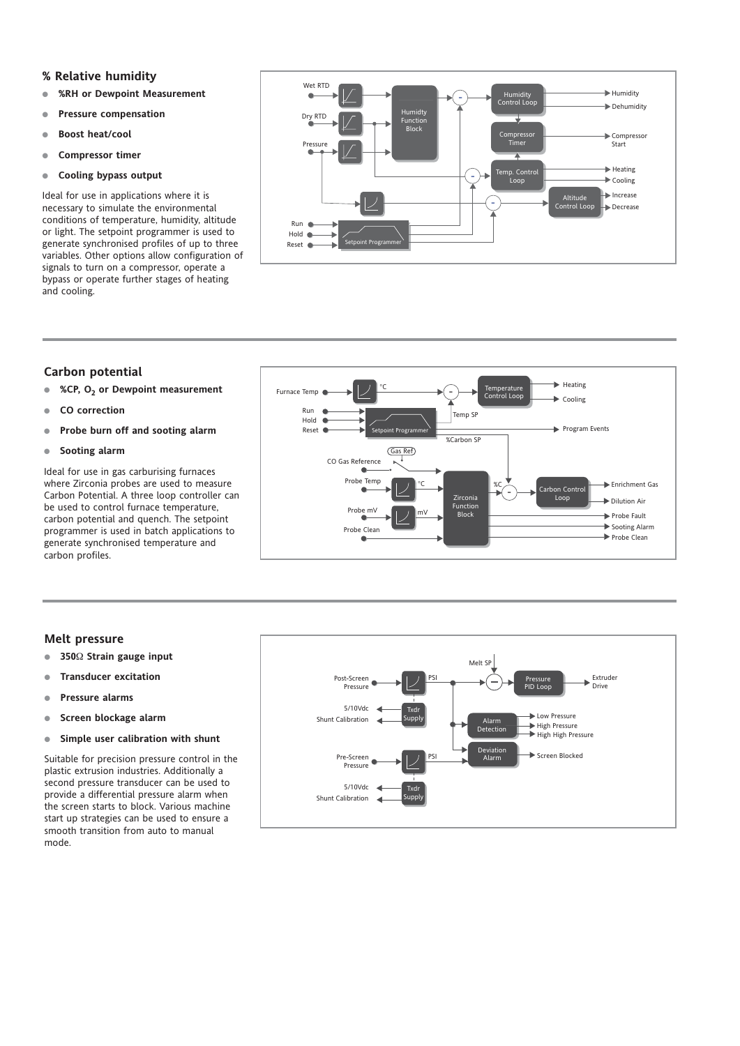#### **% Relative humidity**

- **%RH or Dewpoint Measurement**
- **Pressure compensation**
- **Boost heat/cool**
- **Compressor timer**
- **Cooling bypass output**

Ideal for use in applications where it is necessary to simulate the environmental conditions of temperature, humidity, altitude or light. The setpoint programmer is used to generate synchronised profiles of up to three variables. Other options allow configuration of signals to turn on a compressor, operate a bypass or operate further stages of heating and cooling.



#### **Carbon potential**

- **%CP, O2 or Dewpoint measurement**
- **CO correction**
- **Probe burn off and sooting alarm**
- **Sooting alarm**

Ideal for use in gas carburising furnaces where Zirconia probes are used to measure Carbon Potential. A three loop controller can be used to control furnace temperature, carbon potential and quench. The setpoint programmer is used in batch applications to generate synchronised temperature and carbon profiles.



#### **Melt pressure**

- **350**Ω **Strain gauge input**
- **Transducer excitation**
- **Pressure alarms**
- **Screen blockage alarm**
- **Simple user calibration with shunt**

Suitable for precision pressure control in the plastic extrusion industries. Additionally a second pressure transducer can be used to provide a differential pressure alarm when the screen starts to block. Various machine start up strategies can be used to ensure a smooth transition from auto to manual mode.

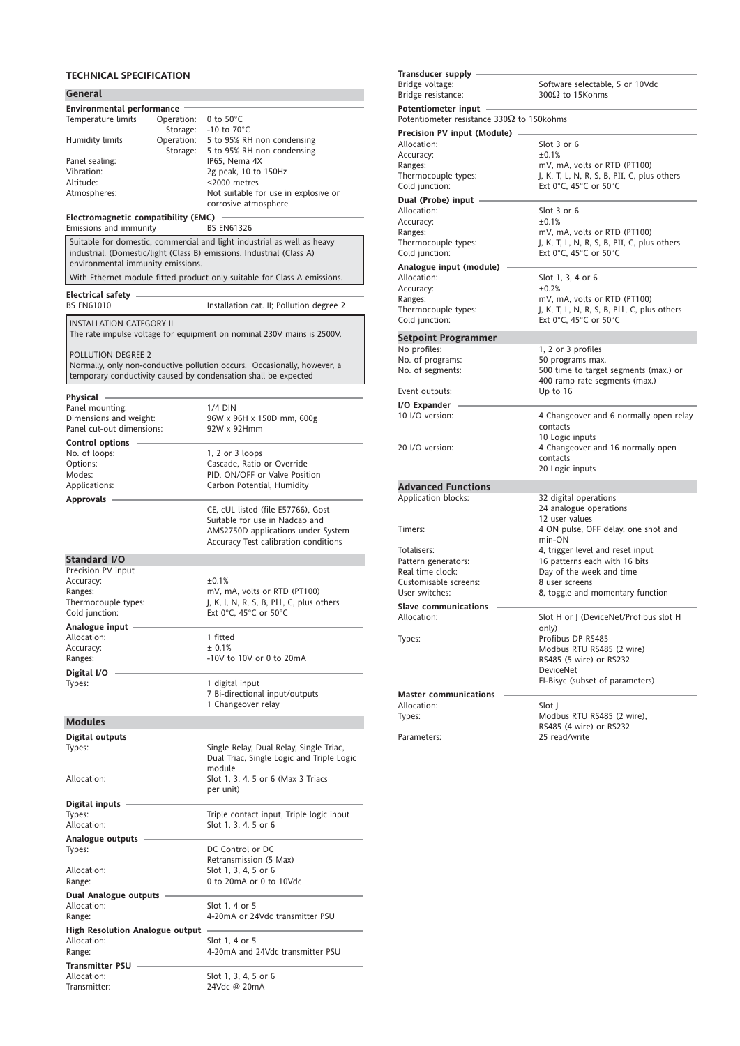# **TECHNICAL SPECIFICATION**

| General                                                                 |                                                                          |
|-------------------------------------------------------------------------|--------------------------------------------------------------------------|
| <b>Environmental performance</b>                                        |                                                                          |
| Temperature limits<br>Operation:                                        | 0 to $50^{\circ}$ C                                                      |
| Storage:                                                                | -10 to $70^{\circ}$ C                                                    |
| Operation:<br>Humidity limits<br>Storage:                               | 5 to 95% RH non condensing<br>5 to 95% RH non condensing                 |
| Panel sealing:                                                          | IP65, Nema 4X                                                            |
| Vibration:                                                              | 2g peak, 10 to 150Hz                                                     |
| Altitude:                                                               | <2000 metres                                                             |
| Atmospheres:                                                            | Not suitable for use in explosive or                                     |
|                                                                         | corrosive atmosphere                                                     |
| Electromagnetic compatibility (EMC)<br>Emissions and immunity           | <b>BS EN61326</b>                                                        |
| Suitable for domestic, commercial and light industrial as well as heavy |                                                                          |
| industrial. (Domestic/light (Class B) emissions. Industrial (Class A)   |                                                                          |
| environmental immunity emissions.                                       |                                                                          |
|                                                                         | With Ethernet module fitted product only suitable for Class A emissions. |
| Electrical safety                                                       |                                                                          |
| <b>BS EN61010</b>                                                       | Installation cat. II; Pollution degree 2                                 |
| <b>INSTALLATION CATEGORY II</b>                                         |                                                                          |
|                                                                         | The rate impulse voltage for equipment on nominal 230V mains is 2500V.   |
|                                                                         |                                                                          |
| POLLUTION DEGREE 2                                                      |                                                                          |
|                                                                         | Normally, only non-conductive pollution occurs. Occasionally, however, a |
| temporary conductivity caused by condensation shall be expected         |                                                                          |
| Physical -                                                              |                                                                          |
| Panel mounting:                                                         | 1/4 DIN                                                                  |
| Dimensions and weight:<br>Panel cut-out dimensions:                     | 96W x 96H x 150D mm, 600g<br>92W x 92Hmm                                 |
|                                                                         |                                                                          |
| <b>Control options</b><br>No. of loops:                                 | $1, 2$ or $3$ loops                                                      |
| Options:                                                                | Cascade, Ratio or Override                                               |
| Modes:                                                                  | PID, ON/OFF or Valve Position                                            |
| Applications:                                                           | Carbon Potential, Humidity                                               |
| Approvals -                                                             | CE, cUL listed (file E57766), Gost                                       |
|                                                                         | Suitable for use in Nadcap and                                           |
|                                                                         | AMS2750D applications under System                                       |
|                                                                         |                                                                          |
|                                                                         | Accuracy Test calibration conditions                                     |
| Standard I/O                                                            |                                                                          |
| Precision PV input                                                      |                                                                          |
| Accuracy:                                                               | ±0.1%                                                                    |
| Ranges:                                                                 | mV, mA, volts or RTD (PT100)                                             |
| Thermocouple types:<br>Cold junction:                                   | J, K, I, N, R, S, B, PII, C, plus others<br>Ext 0°C. 45°C or 50°C        |
|                                                                         |                                                                          |
| Analogue input<br>Allocation:                                           | 1 fitted                                                                 |
| Accuracy:                                                               | ±0.1%                                                                    |
| Ranges:                                                                 | -10V to 10V or 0 to 20mA                                                 |
| Digital I/O                                                             |                                                                          |
| Types:                                                                  | 1 digital input                                                          |
|                                                                         | 7 Bi-directional input/outputs<br>1 Changeover relay                     |
|                                                                         |                                                                          |
| <b>Modules</b>                                                          |                                                                          |
| Digital outputs<br>Types:                                               | Single Relay, Dual Relay, Single Triac,                                  |
|                                                                         | Dual Triac, Single Logic and Triple Logic                                |
|                                                                         | module                                                                   |
| Allocation:                                                             | Slot 1, 3, 4, 5 or 6 (Max 3 Triacs                                       |
|                                                                         | per unit)                                                                |
| Digital inputs                                                          |                                                                          |
| Types:<br>Allocation:                                                   | Triple contact input, Triple logic input<br>Slot 1, 3, 4, 5 or 6         |
| Analogue outputs                                                        |                                                                          |
| Types:                                                                  | DC Control or DC                                                         |
|                                                                         | Retransmission (5 Max)                                                   |
| Allocation:                                                             | Slot 1, 3, 4, 5 or 6<br>0 to 20mA or 0 to 10Vdc                          |
| Range:                                                                  |                                                                          |
| <b>Dual Analogue outputs</b><br>Allocation:                             | Slot 1, 4 or 5                                                           |
| Range:                                                                  | 4-20mA or 24Vdc transmitter PSU                                          |
| High Resolution Analogue output                                         |                                                                          |
| Allocation:                                                             | Slot 1, 4 or 5                                                           |
| Range:                                                                  | 4-20mA and 24Vdc transmitter PSU                                         |
| <b>Transmitter PSU</b><br>Allocation:                                   | Slot 1, 3, 4, 5 or 6                                                     |

| Transducer supply                                  |                                                      |
|----------------------------------------------------|------------------------------------------------------|
| Bridge voltage:                                    | Software selectable, 5 or 10Vdc                      |
| Bridge resistance:                                 | 300 $\Omega$ to 15Kohms                              |
| Potentiometer input -                              |                                                      |
| Potentiometer resistance 330 $\Omega$ to 150 kohms |                                                      |
| <b>Precision PV input (Module)</b>                 |                                                      |
| Allocation:                                        | Slot 3 or 6                                          |
| Accuracy:                                          | ±0.1%                                                |
| Ranges:                                            | mV, mA, volts or RTD (PT100)                         |
| Thermocouple types:                                | J, K, T, L, N, R, S, B, PII, C, plus others          |
| Cold junction:                                     | Ext 0°C, 45°C or 50°C                                |
| Dual (Probe) input                                 |                                                      |
| Allocation:                                        | Slot 3 or 6                                          |
| Accuracy:                                          | ±0.1%                                                |
| Ranges:                                            | mV, mA, volts or RTD (PT100)                         |
| Thermocouple types:                                | J, K, T, L, N, R, S, B, PII, C, plus others          |
| Cold junction:                                     | Ext 0°C, 45°C or 50°C                                |
| Analogue input (module)                            |                                                      |
| Allocation:                                        | Slot 1, 3, 4 or 6                                    |
| Accuracy:                                          | ±0.2%                                                |
| Ranges:                                            | mV, mA, volts or RTD (PT100)                         |
| Thermocouple types:                                | J, K, T, L, N, R, S, B, PII, C, plus others          |
| Cold junction:                                     | Ext 0°C, 45°C or 50°C                                |
| <b>Setpoint Programmer</b>                         |                                                      |
| No profiles:                                       | 1, 2 or 3 profiles                                   |
| No. of programs:                                   | 50 programs max.                                     |
| No. of segments:                                   | 500 time to target segments (max.) or                |
|                                                    | 400 ramp rate segments (max.)                        |
| Event outputs:                                     | Up to 16                                             |
| I/O Expander                                       |                                                      |
|                                                    |                                                      |
| 10 I/O version:                                    | 4 Changeover and 6 normally open relay               |
|                                                    | contacts                                             |
|                                                    | 10 Logic inputs                                      |
| 20 I/O version:                                    | 4 Changeover and 16 normally open                    |
|                                                    | contacts                                             |
|                                                    | 20 Logic inputs                                      |
| <b>Advanced Functions</b>                          |                                                      |
| Application blocks:                                | 32 digital operations                                |
|                                                    | 24 analogue operations                               |
|                                                    | 12 user values                                       |
| Timers:                                            | 4 ON pulse, OFF delay, one shot and                  |
|                                                    | min-ON                                               |
| Totalisers:                                        | 4, trigger level and reset input                     |
| Pattern generators:                                | 16 patterns each with 16 bits                        |
| Real time clock:                                   | Day of the week and time                             |
| Customisable screens:                              | 8 user screens                                       |
| User switches:                                     | 8, toggle and momentary function                     |
| <b>Slave communications</b>                        |                                                      |
| Allocation:                                        | Slot H or J (DeviceNet/Profibus slot H               |
|                                                    | only)                                                |
| Types:                                             | Profibus DP RS485                                    |
|                                                    | Modbus RTU RS485 (2 wire)<br>RS485 (5 wire) or RS232 |
|                                                    | <b>DeviceNet</b>                                     |
|                                                    | El-Bisyc (subset of parameters)                      |
| <b>Master communications</b>                       |                                                      |
| Allocation:                                        | Slot I                                               |
| Types:                                             | Modbus RTU RS485 (2 wire),                           |
|                                                    | RS485 (4 wire) or RS232<br>25 read/write             |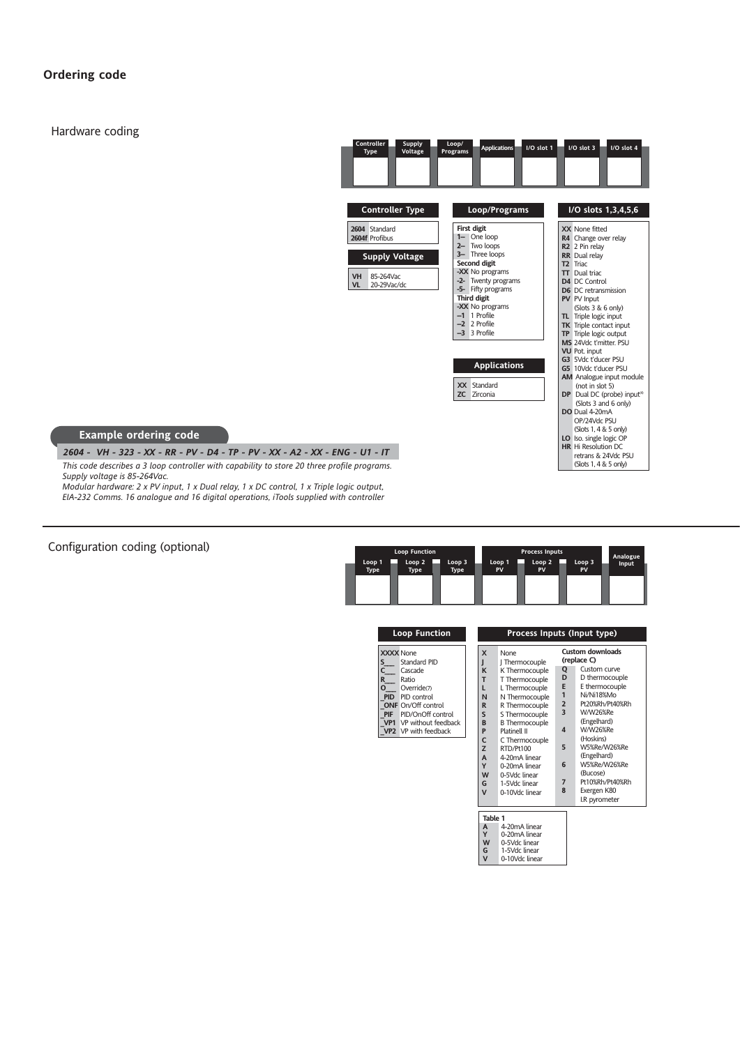# **Ordering code**

Hardware coding

| <b>Controller</b><br><b>Supply</b><br>Voltage<br><b>Type</b><br><b>Controller Type</b>                          | Loop/<br><b>Applications</b><br>I/O slot 1<br>Programs<br>Loop/Programs                                                                                                                                                                          | $1/O$ slot $3$<br>I/O slot 4<br>I/O slots 1,3,4,5,6                                                                                                                                                                                                                                                                                                       |
|-----------------------------------------------------------------------------------------------------------------|--------------------------------------------------------------------------------------------------------------------------------------------------------------------------------------------------------------------------------------------------|-----------------------------------------------------------------------------------------------------------------------------------------------------------------------------------------------------------------------------------------------------------------------------------------------------------------------------------------------------------|
| 2604 Standard<br>2604f Profibus<br><b>Supply Voltage</b><br>85-264Vac<br><b>VH</b><br><b>VL</b><br>20-29 Vac/dc | <b>First digit</b><br>1- One loop<br>2- Two loops<br>3- Three loops<br>Second digit<br>-XX No programs<br>-2- Twenty programs<br>-5- Fifty programs<br><b>Third digit</b><br>-XX No programs<br>$-1$ 1 Profile<br>$-2$ 2 Profile<br>-3 3 Profile | XX None fitted<br>R4 Change over relay<br>R <sub>2</sub> 2 Pin relay<br><b>RR</b> Dual relay<br>T <sub>2</sub> Triac<br><b>TT</b> Dual triac<br>D4 DC Control<br><b>D6</b> DC retransmission<br>PV PV Input<br>(Slots 3 & 6 only)<br>TL Triple logic input<br><b>TK</b> Triple contact input<br>TP Triple logic output<br>MS 24Vdc t'mitter. PSU          |
| - ENG - U1 - IT<br>profile programs.                                                                            | <b>Applications</b><br>Standard<br><b>XX</b><br><b>ZC</b><br>Zirconia                                                                                                                                                                            | <b>VU</b> Pot. input<br>G3 5Vdc t'ducer PSU<br>G5 10Vdc t'ducer PSU<br>AM Analogue input module<br>(not in slot 5)<br>DP Dual DC (probe) input <sup>(4)</sup><br>(Slots 3 and 6 only)<br>DO Dual 4-20mA<br>OP/24Vdc PSU<br>(Slots 1, 4 & 5 only)<br>LO Iso. single logic OP<br><b>HR</b> Hi Resolution DC<br>retrans & 24Vdc PSU<br>(Slots 1, 4 & 5 only) |

#### **Example ordering code**

*This code describes a 3 loop controller with capability to store 20 three Supply voltage is 85-264Vac. 2604 - VH - 323 - XX - RR - PV - D4 - TP - PV - XX - A2 - XX - ENG - U1 - IT*

*Modular hardware: 2 x PV input, 1 x Dual relay, 1 x DC control, 1 x Triple logic output, EIA-232 Comms. 16 analogue and 16 digital operations, iTools supplied with controller*

Configuration coding (optional)

|                | <b>Loop Function</b>             |                       |              | <b>Process Inputs</b>   |                         | Analogue |
|----------------|----------------------------------|-----------------------|--------------|-------------------------|-------------------------|----------|
| Loop 1<br>Type | Loop <sub>2</sub><br><b>Type</b> | Loop 3<br><b>Type</b> | Loop 1<br>PV | Loop <sub>2</sub><br>PV | Loop <sub>3</sub><br>PV | Input    |
|                |                                  |                       |              |                         |                         |          |

| <b>Loop Function</b>                                                                                                                                                                                                                   |                   | Process Inputs (Input type)                                                                                                                                                                                                                                                                                                                                                                                   |                                                                                    |                                                                                               |                                                                                                                                                                                                                                                                                               |
|----------------------------------------------------------------------------------------------------------------------------------------------------------------------------------------------------------------------------------------|-------------------|---------------------------------------------------------------------------------------------------------------------------------------------------------------------------------------------------------------------------------------------------------------------------------------------------------------------------------------------------------------------------------------------------------------|------------------------------------------------------------------------------------|-----------------------------------------------------------------------------------------------|-----------------------------------------------------------------------------------------------------------------------------------------------------------------------------------------------------------------------------------------------------------------------------------------------|
| <b>XXXX</b> None<br>s.<br>Standard PID<br>C<br>Cascade<br>R.<br>Ratio<br>0<br>Override(7)<br><b>PID</b> PID control<br><b>ONF</b> On/Off control<br>PID/OnOff control<br><b>PIF</b><br>VP1 VP without feedback<br>VP2 VP with feedback | J                 | X<br>None<br>J Thermocouple<br>K Thermocouple<br>K<br>т<br>T Thermocouple<br>L Thermocouple<br>L<br>N Thermocouple<br>N<br>R Thermocouple<br>R<br>S<br>S Thermocouple<br>B<br><b>B</b> Thermocouple<br><b>Platinell II</b><br>P<br>C<br>C Thermocouple<br>Z<br>RTD/Pt100<br>4-20mA linear<br>A<br>Y<br>0-20mA linear<br>W<br>0-5Vdc linear<br>G<br>1-5Vdc linear<br>$\overline{\mathsf{v}}$<br>0-10Vdc linear |                                                                                    | Q<br>D<br>E<br>1<br>$\overline{2}$<br>$\overline{\mathbf{3}}$<br>$\Delta$<br>5<br>6<br>7<br>8 | <b>Custom downloads</b><br>(replace C)<br>Custom curve<br>D thermocouple<br>E thermocouple<br>Ni/Ni18%Mo<br>Pt20%Rh/Pt40%Rh<br>W/W26%Re<br>(Engelhard)<br>W/W26%Re<br>(Hoskins)<br>W5%Re/W26%Re<br>(Engelhard)<br>W5%Re/W26%Re<br>(Bucose)<br>Pt10%Rh/Pt40%Rh<br>Exergen K80<br>I.R pyrometer |
|                                                                                                                                                                                                                                        | G<br>$\mathsf{V}$ | Table 1<br>A<br>Y<br>W                                                                                                                                                                                                                                                                                                                                                                                        | 4-20mA linear<br>0-20mA linear<br>0-5Vdc linear<br>1-5Vdc linear<br>0-10Vdc linear |                                                                                               |                                                                                                                                                                                                                                                                                               |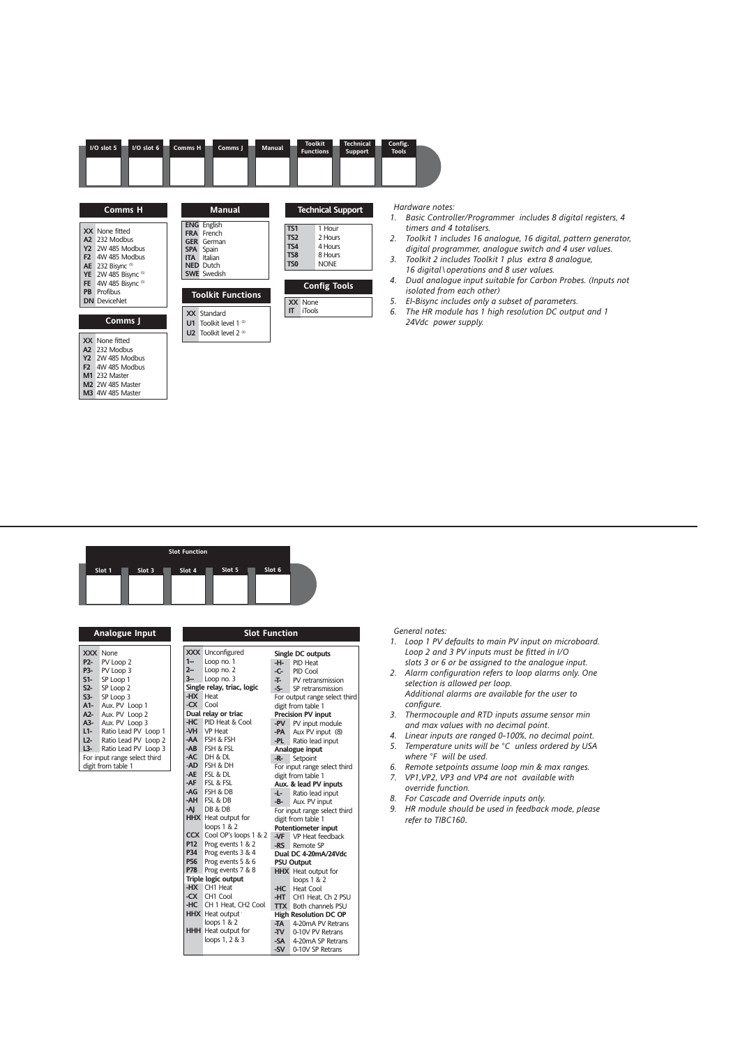|                                                       | I/O slot 5<br>I/O slot 6                                                                                                                                                                                   | Comms H<br>Comms J                                                                                                                                                                               | Manual                                                           | <b>Toolkit</b><br><b>Technical</b><br><b>Functions</b><br>Support                                                    | Config.<br><b>Tools</b>                                                                                                                                                               |
|-------------------------------------------------------|------------------------------------------------------------------------------------------------------------------------------------------------------------------------------------------------------------|--------------------------------------------------------------------------------------------------------------------------------------------------------------------------------------------------|------------------------------------------------------------------|----------------------------------------------------------------------------------------------------------------------|---------------------------------------------------------------------------------------------------------------------------------------------------------------------------------------|
| <b>Y2</b><br>F <sub>2</sub><br><b>AE</b><br><b>FE</b> | <b>Comms H</b><br>XX None fitted<br>A2 232 Modbus<br>2W 485 Modbus<br>4W 485 Modbus<br>232 Bisync <sup>(5)</sup><br>YE 2W 485 Bisync (5)<br>4W 485 Bisync (5)<br><b>PB</b> Profibus<br><b>DN</b> DeviceNet | <b>Manual</b><br><b>ENG</b> English<br><b>FRA</b> French<br><b>GER</b> German<br><b>SPA</b> Spain<br>Italian<br><b>ITA</b><br><b>NED</b> Dutch<br><b>SWE</b> Swedish<br><b>Toolkit Functions</b> | <b>TS1</b><br><b>TS2</b><br><b>TS4</b><br>TS8<br>TS <sub>0</sub> | <b>Technical Support</b><br>1 Hour<br>2 Hours<br>4 Hours<br>8 Hours<br><b>NONE</b><br><b>Config Tools</b><br>XX None | Hardware no<br>$\mathcal{I}$ .<br>Basic Cor<br>timers ar<br>Toolkit 1<br>$\mathcal{P}$<br>digital pi<br>Toolkit 2<br>3.<br>16 digita<br>Dual and<br>4.<br>isolated<br>EI-Bisync<br>5. |
| F <sub>2</sub>                                        | Comms J<br>XX None fitted<br>A2 232 Modbus<br><b>Y2</b> 2W 485 Modbus<br>4W 485 Modbus<br>M1 232 Master<br><b>M2</b> 2W 485 Master<br><b>M3</b> 4W 485 Master                                              | <b>XX</b> Standard<br>U1 Toolkit level 1 $^{\circ}$<br><b>U2</b> Toolkit level $2^{(3)}$                                                                                                         | $\mathsf{I}$                                                     | iTools                                                                                                               | The HR n<br>6.<br>24Vdc p                                                                                                                                                             |

*Hardware notes:*

- *1. Basic Controller/Programmer includes 8 digital registers, 4 timers and 4 totalisers.*
- *2. Toolkit 1 includes 16 analogue, 16 digital, pattern generator, digital programmer, analogue switch and 4 user values.*
- *3. Toolkit 2 includes Toolkit 1 plus extra 8 analogue, 16 digital\operations and 8 user values.*
- *4. Dual analogue input suitable for Carbon Probes. (Inputs not*  from each other)
- *5. EI-Bisync includes only a subset of parameters. 6. The HR module has 1 high resolution DC output and 1*  **Comms J** *24Vdc power supply.*

| <b>Slot Function</b> |        |        |        |        |  |
|----------------------|--------|--------|--------|--------|--|
| Slot 1               | Slot 3 | Slot 4 | Slot 5 | Slot 6 |  |
|                      |        |        |        |        |  |

| P2-<br>P3-<br>$S1-$<br>S2-<br>$S3-$<br>A1-<br>A2-<br>$A3-$<br>$L1-$<br>$L2-$<br>L3- | <b>Analogue Input</b><br><b>XXX</b> None<br>PV Loop 2<br>PV Loop 3<br>SP Loop 1<br>SP Loop 2<br>SP Loop 3<br>Aux. PV Loop 1<br>Aux. PV Loop 2<br>Aux. PV Loop 3<br>Ratio Lead PV Loop 1<br>Ratio Lead PV Loop 2<br>Ratio Lead PV Loop 3<br>For input range select third<br>digit from table 1 | X<br>$\frac{2}{5}$<br>D |
|-------------------------------------------------------------------------------------|-----------------------------------------------------------------------------------------------------------------------------------------------------------------------------------------------------------------------------------------------------------------------------------------------|-------------------------|
|                                                                                     |                                                                                                                                                                                                                                                                                               |                         |
|                                                                                     |                                                                                                                                                                                                                                                                                               |                         |

|            | <b>Slot Function</b>       |       |                               |  |  |  |
|------------|----------------------------|-------|-------------------------------|--|--|--|
|            | XXX Unconfigured           |       | Single DC outputs             |  |  |  |
| $1-$       | Loop no. 1                 | -H-   | PID Heat                      |  |  |  |
| $2 -$      | Loop no. 2                 | -C-   | PID Cool                      |  |  |  |
| $3 -$      | Loop no. 3                 | ᅚ     | PV retransmission             |  |  |  |
|            | Single relay, triac, logic |       | -S- SP retransmission         |  |  |  |
| -HX        | Heat                       |       | For output range select third |  |  |  |
| -CX        | Cool                       |       | digit from table 1            |  |  |  |
|            | Dual relay or triac        |       | <b>Precision PV input</b>     |  |  |  |
| -HC        | PID Heat & Cool            | -PV   | PV input module               |  |  |  |
| -VH        | <b>VP Heat</b>             | -PA   | Aux PV input (8)              |  |  |  |
| -AA        | FSH & FSH                  | -PL   | Ratio lead input              |  |  |  |
| $-AB$      | FSH & FSL                  |       | Analogue input                |  |  |  |
| -AC        | DH & DL                    | -R-   | Setpoint                      |  |  |  |
| -AD        | FSH & DH                   |       | For input range select third  |  |  |  |
| -AE        | FSL & DL                   |       | digit from table 1            |  |  |  |
| -AF        | FSL & FSL                  |       | Aux. & lead PV inputs         |  |  |  |
| -AG        | FSH & DB                   | -L- 1 | Ratio lead input              |  |  |  |
| -AH        | FSL & DB                   | -В-   | Aux. PV input                 |  |  |  |
| -AI        | DB & DB                    |       | For input range select third  |  |  |  |
|            | <b>HHX</b> Heat output for |       | digit from table 1            |  |  |  |
|            | loops $1 & 2$              |       | <b>Potentiometer input</b>    |  |  |  |
| <b>CCX</b> | Cool OP's loops 1 & 2      | -VF   | VP Heat feedback              |  |  |  |
| P12        | Prog events 1 & 2          | -RS   | Remote SP                     |  |  |  |
| P34        | Prog events 3 & 4          |       | Dual DC 4-20mA/24Vdc          |  |  |  |
| <b>P56</b> | Prog events 5 & 6          |       | <b>PSU Output</b>             |  |  |  |
| <b>P78</b> | Prog events 7 & 8          |       | <b>HHX</b> Heat output for    |  |  |  |
|            | <b>Triple logic output</b> |       | loops $1 & 2$                 |  |  |  |
| -HX        | CH1 Heat                   | -HC   | <b>Heat Cool</b>              |  |  |  |
| -CX        | CH <sub>1</sub> Cool       |       | -HT CH1 Heat, Ch 2 PSU        |  |  |  |
| -HC        | CH 1 Heat, CH2 Cool        |       | <b>TTX</b> Both channels PSU  |  |  |  |
|            | <b>HHX</b> Heat output     |       | <b>High Resolution DC OP</b>  |  |  |  |
|            | loops $1 & 2$              | -TA   | 4-20mA PV Retrans             |  |  |  |
|            | <b>HHH</b> Heat output for | -TV   | 0-10V PV Retrans              |  |  |  |
|            | loops 1, 2 & 3             | -SA - | 4-20mA SP Retrans             |  |  |  |
|            |                            | -SV   | 0-10V SP Retrans              |  |  |  |

#### *General notes:*

- *1. Loop 1 PV defaults to main PV input on microboard. Loop 2 and 3 PV inputs must be fitted in I/O*
- *slots 3 or 6 or be assigned to the analogue input. 2. Alarm configuration refers to loop alarms only. One selection is allowed per loop.*
- *Additional alarms are available for the user to configure.*
- *3. Thermocouple and RTD inputs assume sensor min and max values with no decimal point.*
- *4. Linear inputs are ranged 0-100%, no decimal point. 5. Temperature units will be °C unless ordered by USA where °F will be used.*
- *6. Remote setpoints assume loop min & max ranges.*
- *7. VP1,VP2, VP3 and VP4 are not available with override function.*
- 
- *8. For Cascade and Override inputs only. 9. HR module should be used in feedback mode, please refer to TIBC160*.